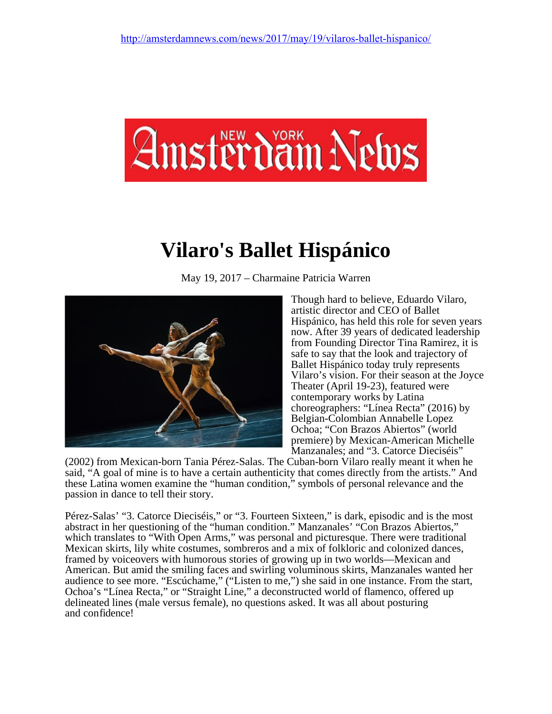

## **Vilaro's Ballet Hispánico**

May 19, 2017 – Charmaine Patricia Warren



Though hard to believe, Eduardo Vilaro, artistic director and CEO of Ballet Hispánico, has held this role for seven years now. After 39 years of dedicated leadership from Founding Director Tina Ramirez, it is safe to say that the look and trajectory of Ballet Hispánico today truly represents Vilaro's vision. For their season at the Joyce Theater (April 19-23), featured were contemporary works by Latina choreographers: "Línea Recta" (2016) by Belgian-Colombian Annabelle Lopez Ochoa; "Con Brazos Abiertos" (world premiere) by Mexican-American Michelle Manzanales; and "3. Catorce Dieciséis"

(2002) from Mexican-born Tania Pérez-Salas. The Cuban-born Vilaro really meant it when he said, "A goal of mine is to have a certain authenticity that comes directly from the artists." And these Latina women examine the "human condition," symbols of personal relevance and the passion in dance to tell their story.

Pérez-Salas' "3. Catorce Dieciséis," or "3. Fourteen Sixteen," is dark, episodic and is the most abstract in her questioning of the "human condition." Manzanales' "Con Brazos Abiertos," which translates to "With Open Arms," was personal and picturesque. There were traditional Mexican skirts, lily white costumes, sombreros and a mix of folkloric and colonized dances, framed by voiceovers with humorous stories of growing up in two worlds—Mexican and American. But amid the smiling faces and swirling voluminous skirts, Manzanales wanted her audience to see more. "Escúchame," ("Listen to me,") she said in one instance. From the start, Ochoa's "Línea Recta," or "Straight Line," a deconstructed world of flamenco, offered up delineated lines (male versus female), no questions asked. It was all about posturing and confidence!